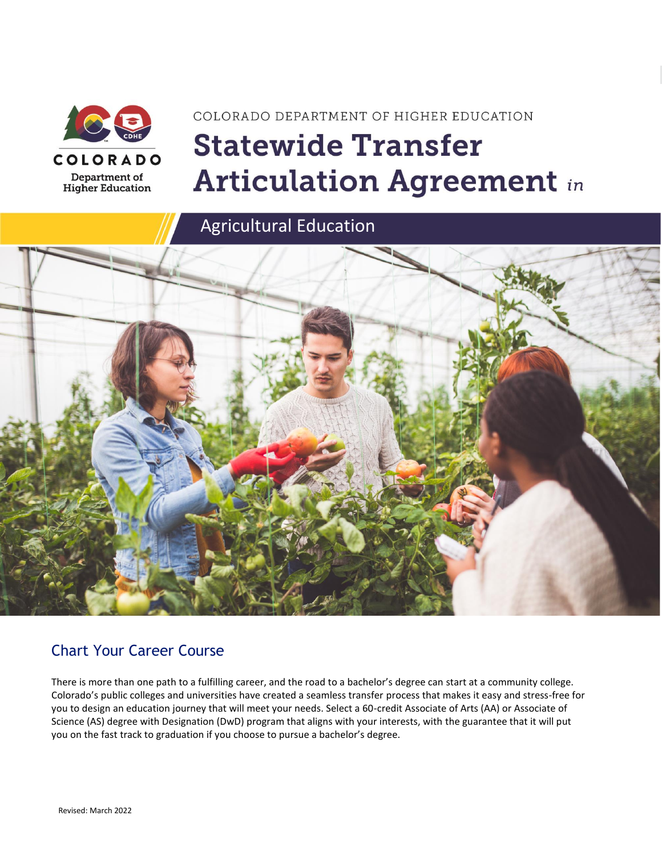

# COLORADO DEPARTMENT OF HIGHER EDUCATION **Statewide Transfer Articulation Agreement in**

Agricultural Education



### Chart Your Career Course

There is more than one path to a fulfilling career, and the road to a bachelor's degree can start at a community college. Colorado's public colleges and universities have created a seamless transfer process that makes it easy and stress-free for you to design an education journey that will meet your needs. Select a 60-credit Associate of Arts (AA) or Associate of Science (AS) degree with Designation (DwD) program that aligns with your interests, with the guarantee that it will put you on the fast track to graduation if you choose to pursue a bachelor's degree.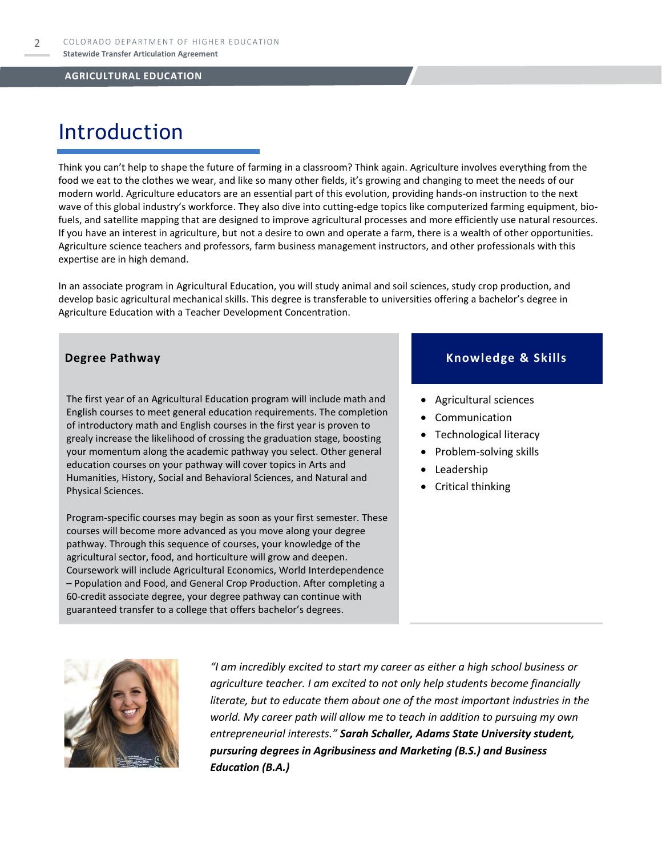### Introduction

Think you can't help to shape the future of farming in a classroom? Think again. Agriculture involves everything from the food we eat to the clothes we wear, and like so many other fields, it's growing and changing to meet the needs of our modern world. Agriculture educators are an essential part of this evolution, providing hands-on instruction to the next wave of this global industry's workforce. They also dive into cutting-edge topics like computerized farming equipment, biofuels, and satellite mapping that are designed to improve agricultural processes and more efficiently use natural resources. If you have an interest in agriculture, but not a desire to own and operate a farm, there is a wealth of other opportunities. Agriculture science teachers and professors, farm business management instructors, and other professionals with this expertise are in high demand.

In an associate program in Agricultural Education, you will study animal and soil sciences, study crop production, and develop basic agricultural mechanical skills. This degree is transferable to universities offering a bachelor's degree in Agriculture Education with a Teacher Development Concentration.

The first year of an Agricultural Education program will include math and English courses to meet general education requirements. The completion of introductory math and English courses in the first year is proven to grealy increase the likelihood of crossing the graduation stage, boosting your momentum along the academic pathway you select. Other general education courses on your pathway will cover topics in Arts and Humanities, History, Social and Behavioral Sciences, and Natural and Physical Sciences.

Program-specific courses may begin as soon as your first semester. These courses will become more advanced as you move along your degree pathway. Through this sequence of courses, your knowledge of the agricultural sector, food, and horticulture will grow and deepen. Coursework will include Agricultural Economics, World Interdependence – Population and Food, and General Crop Production. After completing a 60-credit associate degree, your degree pathway can continue with guaranteed transfer to a college that offers bachelor's degrees.

#### **Degree Pathway Knowledge & Skills**

- Agricultural sciences
- **Communication**
- Technological literacy
- Problem-solving skills
- **Leadership**
- Critical thinking



*"I am incredibly excited to start my career as either a high school business or agriculture teacher. I am excited to not only help students become financially literate, but to educate them about one of the most important industries in the world. My career path will allow me to teach in addition to pursuing my own entrepreneurial interests." Sarah Schaller, Adams State University student, pursuring degrees in Agribusiness and Marketing (B.S.) and Business Education (B.A.)*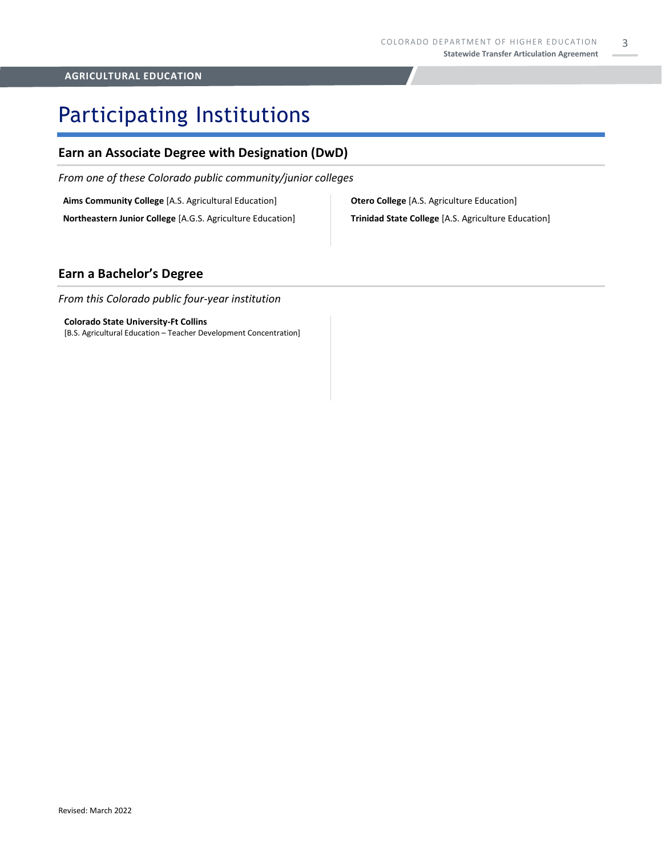## Participating Institutions

#### **Earn an Associate Degree with Designation (DwD)**

*From one of these Colorado public community/junior colleges*

**Aims Community College** [A.S. Agricultural Education]

**Northeastern Junior College** [A.G.S. Agriculture Education]

**Otero College** [A.S. Agriculture Education] **Trinidad State College** [A.S. Agriculture Education]

#### **Earn a Bachelor's Degree**

*From this Colorado public four-year institution*

#### **Colorado State University-Ft Collins**

[B.S. Agricultural Education – Teacher Development Concentration]

3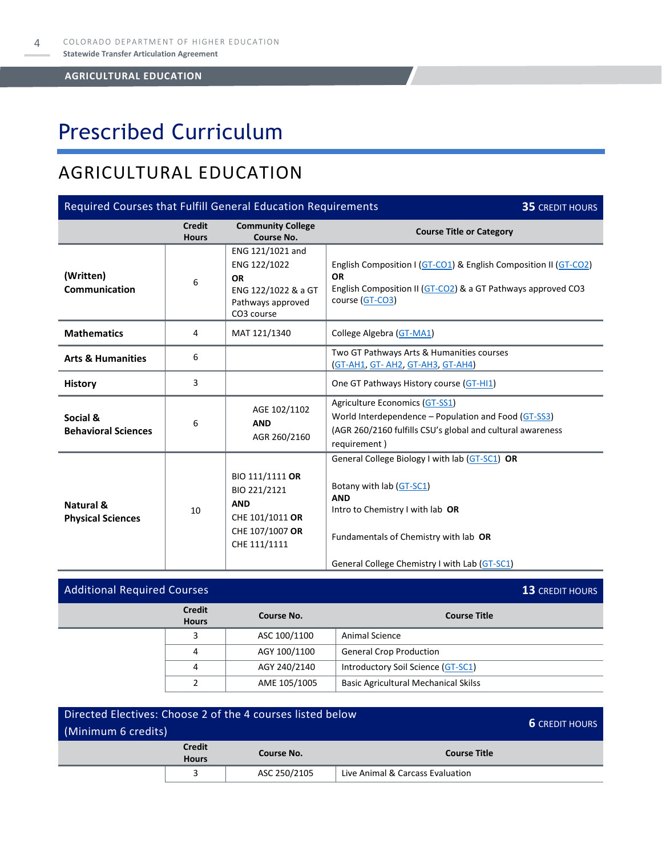# Prescribed Curriculum

### AGRICULTURAL EDUCATION

| Required Courses that Fulfill General Education Requirements<br><b>35 CREDIT HOURS</b> |                               |                                                                                                         |                                                                                                                                                                                                                        |  |
|----------------------------------------------------------------------------------------|-------------------------------|---------------------------------------------------------------------------------------------------------|------------------------------------------------------------------------------------------------------------------------------------------------------------------------------------------------------------------------|--|
|                                                                                        | <b>Credit</b><br><b>Hours</b> | <b>Community College</b><br>Course No.                                                                  | <b>Course Title or Category</b>                                                                                                                                                                                        |  |
| (Written)<br>Communication                                                             | 6                             | ENG 121/1021 and<br>ENG 122/1022<br><b>OR</b><br>ENG 122/1022 & a GT<br>Pathways approved<br>CO3 course | English Composition I (GT-CO1) & English Composition II (GT-CO2)<br><b>OR</b><br>English Composition II (GT-CO2) & a GT Pathways approved CO3<br>course (GT-CO3)                                                       |  |
| <b>Mathematics</b>                                                                     | 4                             | MAT 121/1340                                                                                            | College Algebra (GT-MA1)                                                                                                                                                                                               |  |
| <b>Arts &amp; Humanities</b>                                                           | 6                             |                                                                                                         | Two GT Pathways Arts & Humanities courses<br>(GT-AH1, GT-AH2, GT-AH3, GT-AH4)                                                                                                                                          |  |
| <b>History</b>                                                                         | 3                             |                                                                                                         | One GT Pathways History course (GT-HI1)                                                                                                                                                                                |  |
| Social &<br><b>Behavioral Sciences</b>                                                 | 6                             | AGE 102/1102<br><b>AND</b><br>AGR 260/2160                                                              | Agriculture Economics (GT-SS1)<br>World Interdependence – Population and Food (GT-SS3)<br>(AGR 260/2160 fulfills CSU's global and cultural awareness<br>requirement)                                                   |  |
| Natural &<br><b>Physical Sciences</b>                                                  | 10                            | BIO 111/1111 OR<br>BIO 221/2121<br><b>AND</b><br>CHE 101/1011 OR<br>CHE 107/1007 OR<br>CHE 111/1111     | General College Biology I with lab (GT-SC1) OR<br>Botany with lab (GT-SC1)<br><b>AND</b><br>Intro to Chemistry I with lab OR<br>Fundamentals of Chemistry with lab OR<br>General College Chemistry I with Lab (GT-SC1) |  |

| <b>Additional Required Courses</b> | <b>13 CREDIT HOURS</b> |              |                                             |
|------------------------------------|------------------------|--------------|---------------------------------------------|
| <b>Credit</b><br><b>Hours</b>      |                        | Course No.   | <b>Course Title</b>                         |
|                                    | 3                      | ASC 100/1100 | <b>Animal Science</b>                       |
|                                    | 4                      | AGY 100/1100 | <b>General Crop Production</b>              |
|                                    | 4                      | AGY 240/2140 | Introductory Soil Science (GT-SC1)          |
|                                    |                        | AME 105/1005 | <b>Basic Agricultural Mechanical Skilss</b> |

| Directed Electives: Choose 2 of the 4 courses listed below | <b>6</b> CREDIT HOURS |              |                                  |  |
|------------------------------------------------------------|-----------------------|--------------|----------------------------------|--|
| (Minimum 6 credits)                                        |                       |              |                                  |  |
| <b>Credit</b><br><b>Course Title</b><br>Course No.         |                       |              |                                  |  |
| <b>Hours</b>                                               |                       |              |                                  |  |
|                                                            |                       | ASC 250/2105 | Live Animal & Carcass Evaluation |  |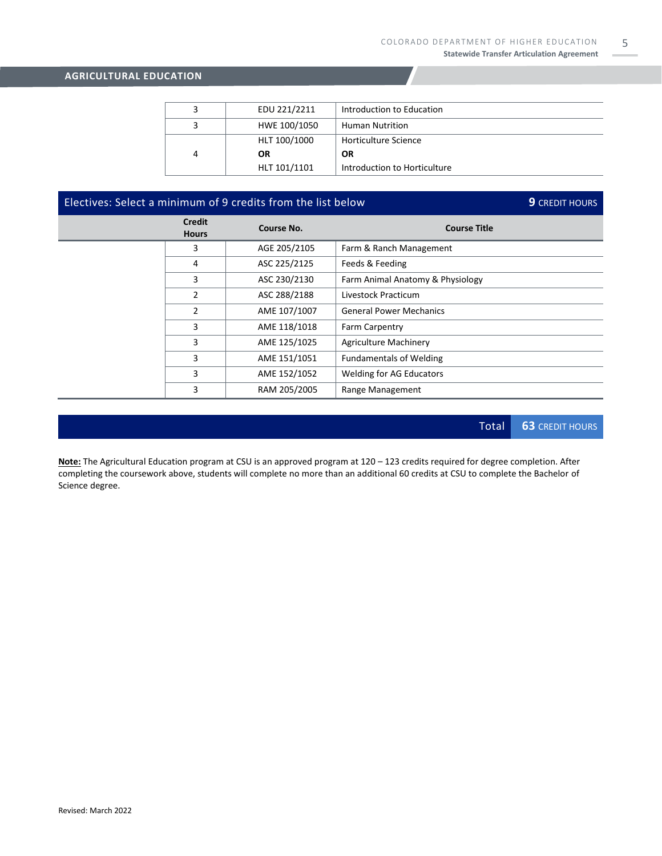|   | EDU 221/2211 | Introduction to Education    |
|---|--------------|------------------------------|
|   | HWE 100/1050 | <b>Human Nutrition</b>       |
|   | HLT 100/1000 | Horticulture Science         |
| 4 | <b>OR</b>    | OR                           |
|   | HLT 101/1101 | Introduction to Horticulture |

### Electives: Select a minimum of 9 credits from the list below **9** CREDIT HOURS

| Credit<br><b>Hours</b> | Course No.   | <b>Course Title</b>              |
|------------------------|--------------|----------------------------------|
| 3                      | AGE 205/2105 | Farm & Ranch Management          |
| 4                      | ASC 225/2125 | Feeds & Feeding                  |
| 3                      | ASC 230/2130 | Farm Animal Anatomy & Physiology |
| 2                      | ASC 288/2188 | Livestock Practicum              |
| $\overline{2}$         | AME 107/1007 | <b>General Power Mechanics</b>   |
| 3                      | AME 118/1018 | Farm Carpentry                   |
| 3                      | AME 125/1025 | <b>Agriculture Machinery</b>     |
| 3                      | AME 151/1051 | <b>Fundamentals of Welding</b>   |
| 3                      | AME 152/1052 | <b>Welding for AG Educators</b>  |
| 3                      | RAM 205/2005 | Range Management                 |

Total **63** CREDIT HOURS

**Note:** The Agricultural Education program at CSU is an approved program at 120 – 123 credits required for degree completion. After completing the coursework above, students will complete no more than an additional 60 credits at CSU to complete the Bachelor of Science degree.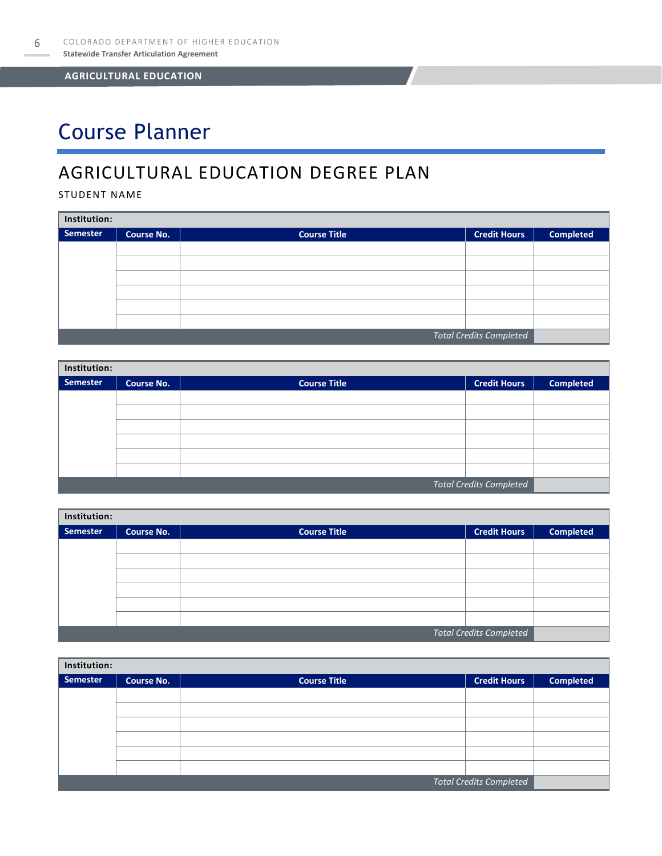# Course Planner

### AGRICULTURAL EDUCATION DEGREE PLAN

#### STUDENT NAME

| Institution:                   |                   |                     |                     |                  |  |  |  |
|--------------------------------|-------------------|---------------------|---------------------|------------------|--|--|--|
| <b>Semester</b>                | <b>Course No.</b> | <b>Course Title</b> | <b>Credit Hours</b> | <b>Completed</b> |  |  |  |
|                                |                   |                     |                     |                  |  |  |  |
|                                |                   |                     |                     |                  |  |  |  |
|                                |                   |                     |                     |                  |  |  |  |
|                                |                   |                     |                     |                  |  |  |  |
|                                |                   |                     |                     |                  |  |  |  |
|                                |                   |                     |                     |                  |  |  |  |
| <b>Total Credits Completed</b> |                   |                     |                     |                  |  |  |  |

| Institution:                   |                   |                     |                     |                  |  |  |  |
|--------------------------------|-------------------|---------------------|---------------------|------------------|--|--|--|
| <b>Semester</b>                | <b>Course No.</b> | <b>Course Title</b> | <b>Credit Hours</b> | <b>Completed</b> |  |  |  |
|                                |                   |                     |                     |                  |  |  |  |
|                                |                   |                     |                     |                  |  |  |  |
|                                |                   |                     |                     |                  |  |  |  |
|                                |                   |                     |                     |                  |  |  |  |
|                                |                   |                     |                     |                  |  |  |  |
|                                |                   |                     |                     |                  |  |  |  |
| <b>Total Credits Completed</b> |                   |                     |                     |                  |  |  |  |

| Institution: |            |                     |                                |                  |  |  |  |
|--------------|------------|---------------------|--------------------------------|------------------|--|--|--|
| Semester     | Course No. | <b>Course Title</b> | <b>Credit Hours</b>            | <b>Completed</b> |  |  |  |
|              |            |                     |                                |                  |  |  |  |
|              |            |                     |                                |                  |  |  |  |
|              |            |                     |                                |                  |  |  |  |
|              |            |                     |                                |                  |  |  |  |
|              |            |                     |                                |                  |  |  |  |
|              |            |                     |                                |                  |  |  |  |
|              |            |                     | <b>Total Credits Completed</b> |                  |  |  |  |

| Institution:                   |                   |                     |                     |                  |  |  |  |
|--------------------------------|-------------------|---------------------|---------------------|------------------|--|--|--|
| <b>Semester</b>                | <b>Course No.</b> | <b>Course Title</b> | <b>Credit Hours</b> | <b>Completed</b> |  |  |  |
|                                |                   |                     |                     |                  |  |  |  |
|                                |                   |                     |                     |                  |  |  |  |
|                                |                   |                     |                     |                  |  |  |  |
|                                |                   |                     |                     |                  |  |  |  |
|                                |                   |                     |                     |                  |  |  |  |
|                                |                   |                     |                     |                  |  |  |  |
| <b>Total Credits Completed</b> |                   |                     |                     |                  |  |  |  |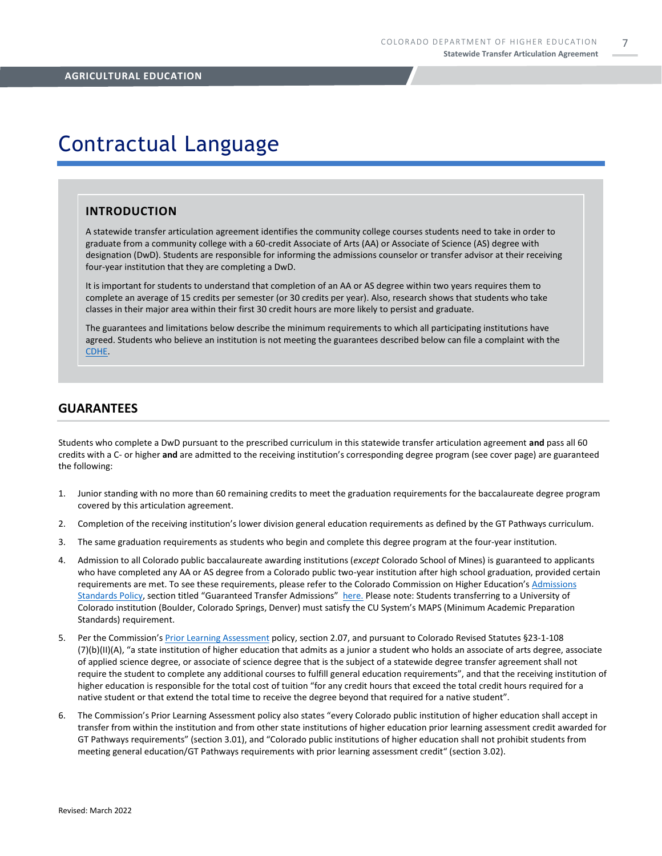7

### Contractual Language

#### **INTRODUCTION**

A statewide transfer articulation agreement identifies the community college courses students need to take in order to graduate from a community college with a 60-credit Associate of Arts (AA) or Associate of Science (AS) degree with designation (DwD). Students are responsible for informing the admissions counselor or transfer advisor at their receiving four-year institution that they are completing a DwD.

It is important for students to understand that completion of an AA or AS degree within two years requires them to complete an average of 15 credits per semester (or 30 credits per year). Also, research shows that students who take classes in their major area within their first 30 credit hours are more likely to persist and graduate.

The guarantees and limitations below describe the minimum requirements to which all participating institutions have agreed. Students who believe an institution is not meeting the guarantees described below can file a complaint with the [CDHE.](https://highered.colorado.gov/filing-student-complaint)

#### **GUARANTEES**

Students who complete a DwD pursuant to the prescribed curriculum in this statewide transfer articulation agreement **and** pass all 60 credits with a C- or higher **and** are admitted to the receiving institution's corresponding degree program (see cover page) are guaranteed the following:

- 1. Junior standing with no more than 60 remaining credits to meet the graduation requirements for the baccalaureate degree program covered by this articulation agreement.
- 2. Completion of the receiving institution's lower division general education requirements as defined by the GT Pathways curriculum.
- 3. The same graduation requirements as students who begin and complete this degree program at the four-year institution.
- 4. Admission to all Colorado public baccalaureate awarding institutions (*except* Colorado School of Mines) is guaranteed to applicants who have completed any AA or AS degree from a Colorado public two-year institution after high school graduation, provided certain requirements are met. To see these requirements, please refer to the Colorado Commission on Higher Education's [Admissions](https://highered.colorado.gov/sites/highered/files/2020-03/i-partf_0.pdf)  [Standards Policy](https://highered.colorado.gov/sites/highered/files/2020-03/i-partf_0.pdf), section titled "Guaranteed Transfer Admissions" [here.](https://highered.colorado.gov/educators/policy-funding/cche-policies-procedures) Please note: Students transferring to a University of Colorado institution (Boulder, Colorado Springs, Denver) must satisfy the CU System's MAPS (Minimum Academic Preparation Standards) requirement.
- 5. Per the Commission's [Prior Learning Assessment](https://highered.colorado.gov/Publications/Policies/Current/i-partx.pdf) policy, section 2.07, and pursuant to Colorado Revised Statutes §23-1-108 (7)(b)(II)(A), "a state institution of higher education that admits as a junior a student who holds an associate of arts degree, associate of applied science degree, or associate of science degree that is the subject of a statewide degree transfer agreement shall not require the student to complete any additional courses to fulfill general education requirements", and that the receiving institution of higher education is responsible for the total cost of tuition "for any credit hours that exceed the total credit hours required for a native student or that extend the total time to receive the degree beyond that required for a native student".
- 6. The Commission's Prior Learning Assessment policy also states "every Colorado public institution of higher education shall accept in transfer from within the institution and from other state institutions of higher education prior learning assessment credit awarded for GT Pathways requirements" (section 3.01), and "Colorado public institutions of higher education shall not prohibit students from meeting general education/GT Pathways requirements with prior learning assessment credit" (section 3.02).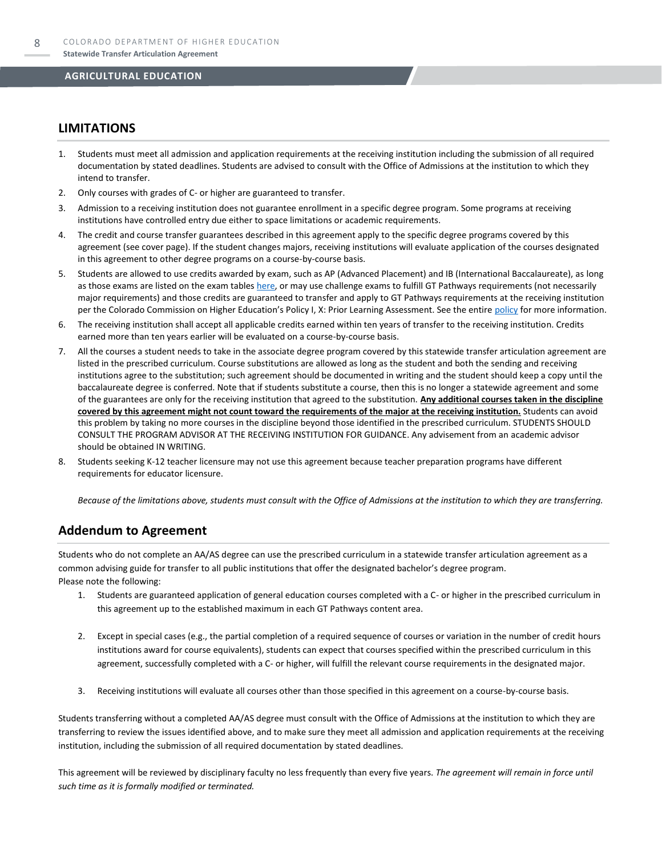#### **LIMITATIONS**

- 1. Students must meet all admission and application requirements at the receiving institution including the submission of all required documentation by stated deadlines. Students are advised to consult with the Office of Admissions at the institution to which they intend to transfer.
- 2. Only courses with grades of C- or higher are guaranteed to transfer.
- 3. Admission to a receiving institution does not guarantee enrollment in a specific degree program. Some programs at receiving institutions have controlled entry due either to space limitations or academic requirements.
- 4. The credit and course transfer guarantees described in this agreement apply to the specific degree programs covered by this agreement (see cover page). If the student changes majors, receiving institutions will evaluate application of the courses designated in this agreement to other degree programs on a course-by-course basis.
- 5. Students are allowed to use credits awarded by exam, such as AP (Advanced Placement) and IB (International Baccalaureate), as long as those exams are listed on the exam table[s here,](https://highered.colorado.gov/get-credit-for-what-you-already-know) or may use challenge exams to fulfill GT Pathways requirements (not necessarily major requirements) and those credits are guaranteed to transfer and apply to GT Pathways requirements at the receiving institution per the Colorado Commission on Higher Education's Policy I, X: Prior Learning Assessment. See the entire [policy](https://highered.colorado.gov/Publications/Policies/Current/i-partx.pdf) for more information.
- 6. The receiving institution shall accept all applicable credits earned within ten years of transfer to the receiving institution. Credits earned more than ten years earlier will be evaluated on a course-by-course basis.
- 7. All the courses a student needs to take in the associate degree program covered by this statewide transfer articulation agreement are listed in the prescribed curriculum. Course substitutions are allowed as long as the student and both the sending and receiving institutions agree to the substitution; such agreement should be documented in writing and the student should keep a copy until the baccalaureate degree is conferred. Note that if students substitute a course, then this is no longer a statewide agreement and some of the guarantees are only for the receiving institution that agreed to the substitution. **Any additional courses taken in the discipline covered by this agreement might not count toward the requirements of the major at the receiving institution.** Students can avoid this problem by taking no more courses in the discipline beyond those identified in the prescribed curriculum. STUDENTS SHOULD CONSULT THE PROGRAM ADVISOR AT THE RECEIVING INSTITUTION FOR GUIDANCE. Any advisement from an academic advisor should be obtained IN WRITING.
- Students seeking K-12 teacher licensure may not use this agreement because teacher preparation programs have different requirements for educator licensure.

*Because of the limitations above, students must consult with the Office of Admissions at the institution to which they are transferring.*

#### **Addendum to Agreement**

Students who do not complete an AA/AS degree can use the prescribed curriculum in a statewide transfer articulation agreement as a common advising guide for transfer to all public institutions that offer the designated bachelor's degree program. Please note the following:

- 1. Students are guaranteed application of general education courses completed with a C- or higher in the prescribed curriculum in this agreement up to the established maximum in each GT Pathways content area.
- 2. Except in special cases (e.g., the partial completion of a required sequence of courses or variation in the number of credit hours institutions award for course equivalents), students can expect that courses specified within the prescribed curriculum in this agreement, successfully completed with a C- or higher, will fulfill the relevant course requirements in the designated major.
- 3. Receiving institutions will evaluate all courses other than those specified in this agreement on a course-by-course basis.

Students transferring without a completed AA/AS degree must consult with the Office of Admissions at the institution to which they are transferring to review the issues identified above, and to make sure they meet all admission and application requirements at the receiving institution, including the submission of all required documentation by stated deadlines.

This agreement will be reviewed by disciplinary faculty no less frequently than every five years. *The agreement will remain in force until such time as it is formally modified or terminated.*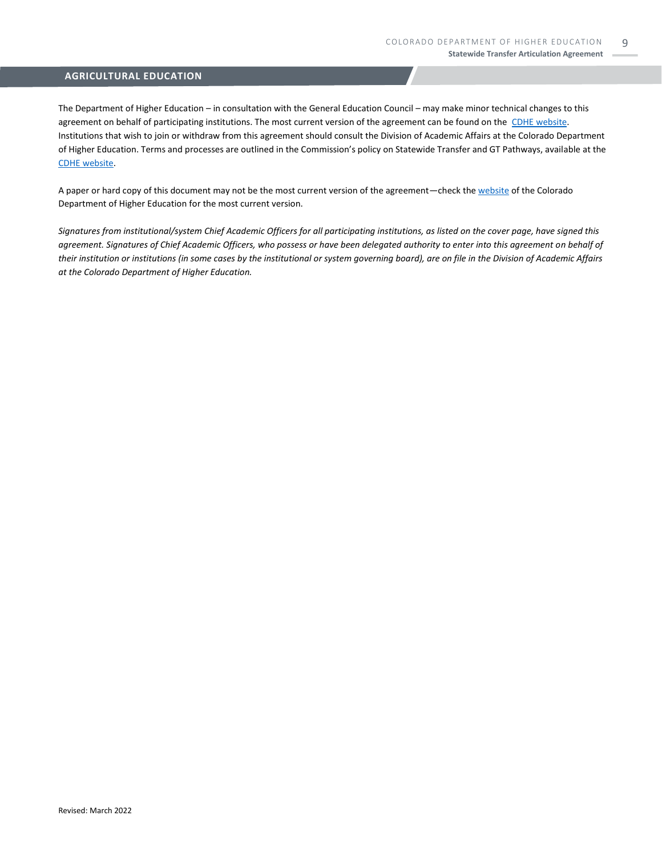The Department of Higher Education – in consultation with the General Education Council – may make minor technical changes to this agreement on behalf of participating institutions. The most current version of the agreement can be found on the [CDHE website.](https://highered.colorado.gov/transfer-degrees) Institutions that wish to join or withdraw from this agreement should consult the Division of Academic Affairs at the Colorado Department of Higher Education. Terms and processes are outlined in the Commission's policy on Statewide Transfer and GT Pathways, available at the [CDHE website.](https://highered.colorado.gov/educators/policy-funding/general-education-ge-council/gtpathways/transfer-agreements)

A paper or hard copy of this document may not be the most current version of the agreement—check th[e website](https://highered.colorado.gov/transfer-degrees) of the Colorado Department of Higher Education for the most current version.

*Signatures from institutional/system Chief Academic Officers for all participating institutions, as listed on the cover page, have signed this agreement. Signatures of Chief Academic Officers, who possess or have been delegated authority to enter into this agreement on behalf of their institution or institutions (in some cases by the institutional or system governing board), are on file in the Division of Academic Affairs at the Colorado Department of Higher Education.*